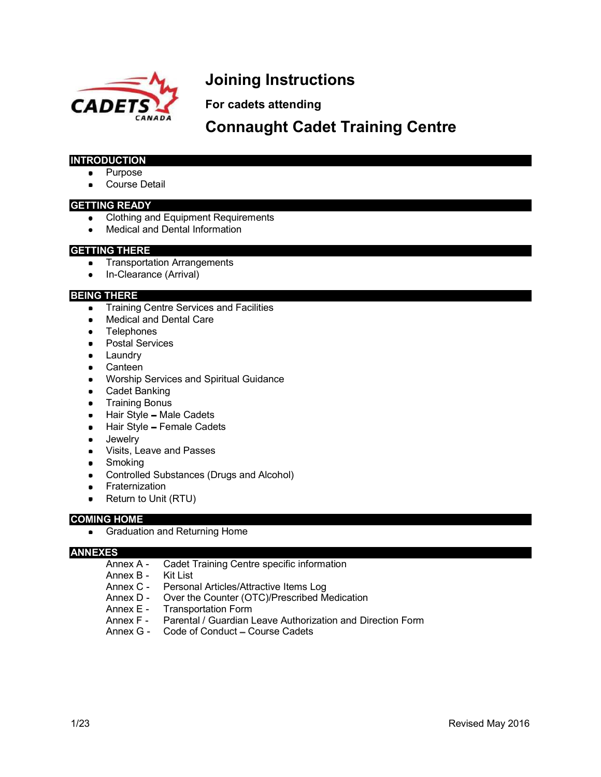

# Joining Instructions

For cadets attending

Connaught Cadet Training Centre

#### INTRODUCTION

- Purpose
- Course Detail

#### GETTING READY

- Clothing and Equipment Requirements
- Medical and Dental Information

#### GETTING THERE

- **•** Transportation Arrangements
- In-Clearance (Arrival)

#### BEING THERE

- **•** Training Centre Services and Facilities
- Medical and Dental Care
- Telephones
- **•** Postal Services
- **•** Laundry
- Canteen
- **Worship Services and Spiritual Guidance**
- Cadet Banking
- **•** Training Bonus
- $\bullet$  Hair Style Male Cadets
- Hair Style Female Cadets
- **•** Jewelry
- Visits, Leave and Passes
- Smoking
- Controlled Substances (Drugs and Alcohol)
- **•** Fraternization
- Return to Unit (RTU)

#### COMING HOME

**•** Graduation and Returning Home

#### ANNEXES

- Annex A Cadet Training Centre specific information
- Annex B Kit List
- Annex C Personal Articles/Attractive Items Log
- Annex D Over the Counter (OTC)/Prescribed Medication
- Annex E Transportation Form<br>Annex F Parental / Guardian L
- Parental / Guardian Leave Authorization and Direction Form
- Annex G Code of Conduct Course Cadets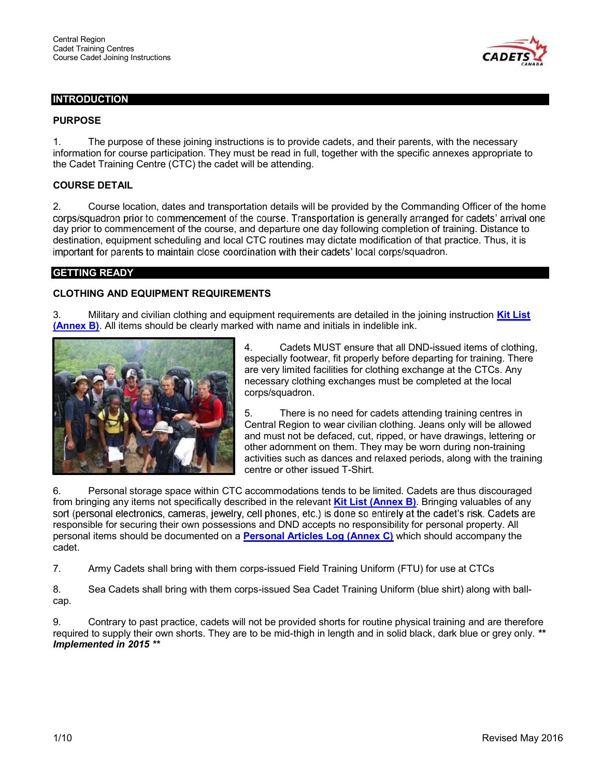

#### **INTRODUCTION**

## PURPOSE

1. The purpose of these joining instructions is to provide cadets, and their parents, with the necessary information for course participation. They must be read in full, together with the specific annexes appropriate to the Cadet Training Centre (CTC) the cadet will be attending.

#### COURSE DETAIL

2. Course location, dates and transportation details will be provided by the Commanding Officer of the home corps/squadron prior to commencement of the course. Transportation is generally arranged for cadets' arrival one day prior to commencement of the course, and departure one day following completion of training. Distance to destination, equipment scheduling and local CTC routines may dictate modification of that practice. Thus, it is important for parents to maintain close coordination with their cadets' local corps/squadron.

#### GETTING READY

#### CLOTHING AND EQUIPMENT REQUIREMENTS

3. Military and civilian clothing and equipment requirements are detailed in the joining instruction **Kit List** (Annex B). All items should be clearly marked with name and initials in indelible ink.



4. Cadets MUST ensure that all DND-issued items of clothing, especially footwear, fit properly before departing for training. There are very limited facilities for clothing exchange at the CTCs. Any necessary clothing exchanges must be completed at the local corps/squadron.

5. There is no need for cadets attending training centres in Central Region to wear civilian clothing. Jeans only will be allowed and must not be defaced, cut, ripped, or have drawings, lettering or other adornment on them. They may be worn during non-training activities such as dances and relaxed periods, along with the training centre or other issued T-Shirt.

6. Personal storage space within CTC accommodations tends to be limited. Cadets are thus discouraged from bringing any items not specifically described in the relevant **Kit List (Annex B)**. Bringing valuables of any<br>sort (personal electronics, cameras, jewelry, cell phones, etc.) is done so entirely at the cadet's risk. C responsible for securing their own possessions and DND accepts no responsibility for personal property. All personal items should be documented on a Personal Articles Log (Annex C) which should accompany the cadet.

7. Army Cadets shall bring with them corps-issued Field Training Uniform (FTU) for use at CTCs

8. Sea Cadets shall bring with them corps-issued Sea Cadet Training Uniform (blue shirt) along with ballcap.

9. Contrary to past practice, cadets will not be provided shorts for routine physical training and are therefore required to supply their own shorts. They are to be mid-thigh in length and in solid black, dark blue or grey only. \*\* Implemented in 2015 \*\*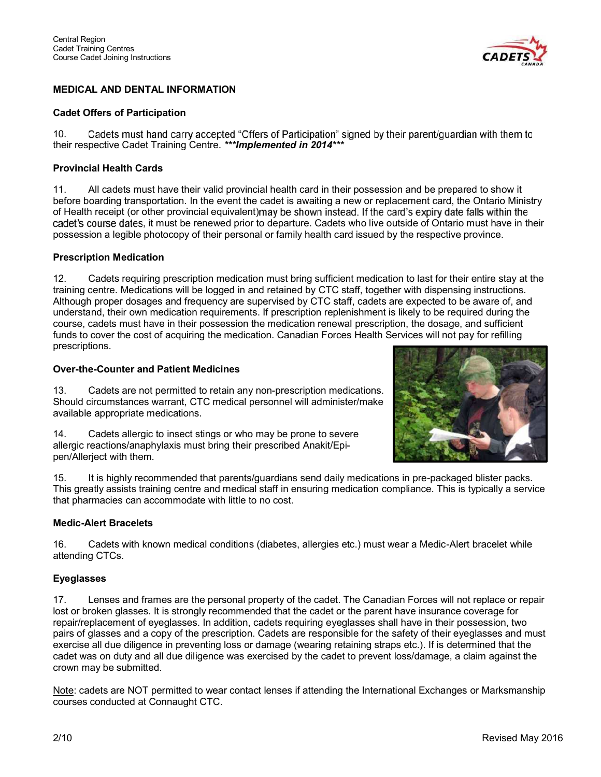

## MEDICAL AND DENTAL INFORMATION

#### Cadet Offers of Participation

Cadets must hand carry accepted "Offers of Participation" signed by their parent/guardian with them to 10. their respective Cadet Training Centre. \*\*\* Implemented in 2014 \*\*\*

#### Provincial Health Cards

11. All cadets must have their valid provincial health card in their possession and be prepared to show it before boarding transportation. In the event the cadet is awaiting a new or replacement card, the Ontario Ministry of Health receipt (or other provincial equivalent) may be shown instead. If the card's expiry date falls within the cadet's course dates, it must be renewed prior to departure. Cadets who live outside of Ontario must have in their possession a legible photocopy of their personal or family health card issued by the respective province.

#### Prescription Medication

12. Cadets requiring prescription medication must bring sufficient medication to last for their entire stay at the training centre. Medications will be logged in and retained by CTC staff, together with dispensing instructions. Although proper dosages and frequency are supervised by CTC staff, cadets are expected to be aware of, and understand, their own medication requirements. If prescription replenishment is likely to be required during the course, cadets must have in their possession the medication renewal prescription, the dosage, and sufficient funds to cover the cost of acquiring the medication. Canadian Forces Health Services will not pay for refilling prescriptions.

#### Over-the-Counter and Patient Medicines

13. Cadets are not permitted to retain any non-prescription medications. Should circumstances warrant, CTC medical personnel will administer/make available appropriate medications.

14. Cadets allergic to insect stings or who may be prone to severe allergic reactions/anaphylaxis must bring their prescribed Anakit/Epipen/Allerject with them.



15. It is highly recommended that parents/guardians send daily medications in pre-packaged blister packs. This greatly assists training centre and medical staff in ensuring medication compliance. This is typically a service that pharmacies can accommodate with little to no cost.

#### Medic-Alert Bracelets

16. Cadets with known medical conditions (diabetes, allergies etc.) must wear a Medic-Alert bracelet while attending CTCs.

#### Eyeglasses

17. Lenses and frames are the personal property of the cadet. The Canadian Forces will not replace or repair lost or broken glasses. It is strongly recommended that the cadet or the parent have insurance coverage for repair/replacement of eyeglasses. In addition, cadets requiring eyeglasses shall have in their possession, two pairs of glasses and a copy of the prescription. Cadets are responsible for the safety of their eyeglasses and must exercise all due diligence in preventing loss or damage (wearing retaining straps etc.). If is determined that the cadet was on duty and all due diligence was exercised by the cadet to prevent loss/damage, a claim against the crown may be submitted.

Note: cadets are NOT permitted to wear contact lenses if attending the International Exchanges or Marksmanship courses conducted at Connaught CTC.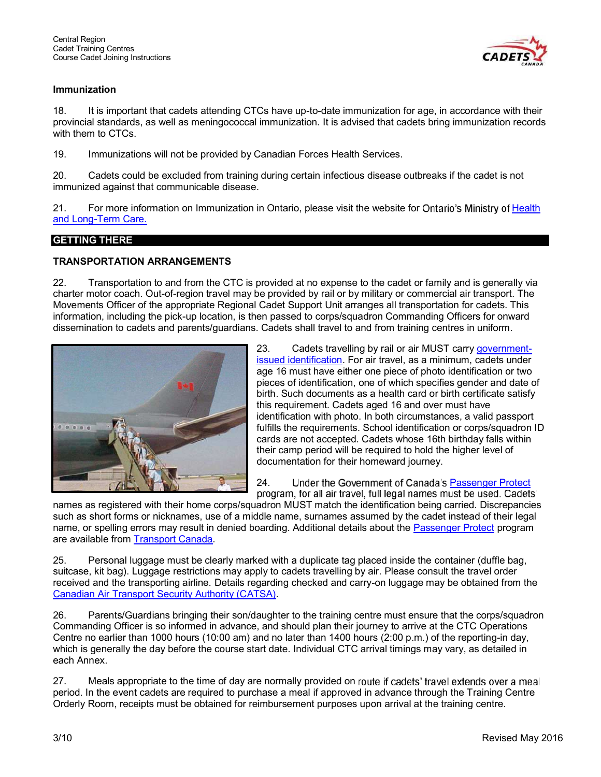

#### Immunization

18. It is important that cadets attending CTCs have up-to-date immunization for age, in accordance with their provincial standards, as well as meningococcal immunization. It is advised that cadets bring immunization records with them to CTCs.

19. Immunizations will not be provided by Canadian Forces Health Services.

20. Cadets could be excluded from training during certain infectious disease outbreaks if the cadet is not immunized against that communicable disease.

21. For more information on Immunization in Ontario, please visit the website for Ontario's Ministry of Health and Long-Term Care.

#### GETTING THERE

#### TRANSPORTATION ARRANGEMENTS

22. Transportation to and from the CTC is provided at no expense to the cadet or family and is generally via charter motor coach. Out-of-region travel may be provided by rail or by military or commercial air transport. The Movements Officer of the appropriate Regional Cadet Support Unit arranges all transportation for cadets. This information, including the pick-up location, is then passed to corps/squadron Commanding Officers for onward dissemination to cadets and parents/guardians. Cadets shall travel to and from training centres in uniform.



23. Cadets travelling by rail or air MUST carry governmentissued identification. For air travel, as a minimum, cadets under age 16 must have either one piece of photo identification or two pieces of identification, one of which specifies gender and date of birth. Such documents as a health card or birth certificate satisfy this requirement. Cadets aged 16 and over must have identification with photo. In both circumstances, a valid passport fulfills the requirements. School identification or corps/squadron ID cards are not accepted. Cadets whose 16th birthday falls within their camp period will be required to hold the higher level of documentation for their homeward journey.

24. Under the Government of Canada's Passenger Protect program, for all air travel, full legal names must be used. Cadets'

names as registered with their home corps/squadron MUST match the identification being carried. Discrepancies such as short forms or nicknames, use of a middle name, surnames assumed by the cadet instead of their legal name, or spelling errors may result in denied boarding. Additional details about the Passenger Protect program are available from Transport Canada.

25. Personal luggage must be clearly marked with a duplicate tag placed inside the container (duffle bag, suitcase, kit bag). Luggage restrictions may apply to cadets travelling by air. Please consult the travel order received and the transporting airline. Details regarding checked and carry-on luggage may be obtained from the Canadian Air Transport Security Authority (CATSA).

26. Parents/Guardians bringing their son/daughter to the training centre must ensure that the corps/squadron Commanding Officer is so informed in advance, and should plan their journey to arrive at the CTC Operations Centre no earlier than 1000 hours (10:00 am) and no later than 1400 hours (2:00 p.m.) of the reporting-in day, which is generally the day before the course start date. Individual CTC arrival timings may vary, as detailed in each Annex.

27. Meals appropriate to the time of day are normally provided on route if cadets' travel extends over a meal period. In the event cadets are required to purchase a meal if approved in advance through the Training Centre Orderly Room, receipts must be obtained for reimbursement purposes upon arrival at the training centre.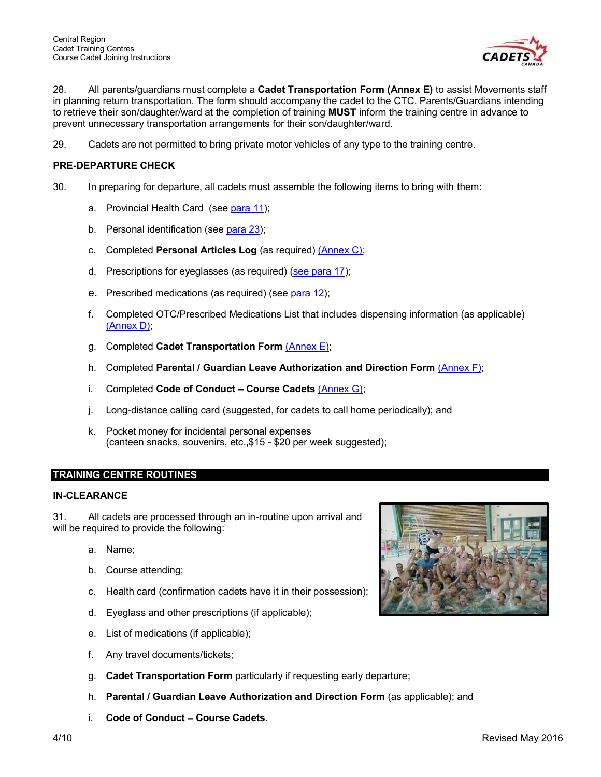

28. All parents/guardians must complete a Cadet Transportation Form (Annex E) to assist Movements staff in planning return transportation. The form should accompany the cadet to the CTC. Parents/Guardians intending to retrieve their son/daughter/ward at the completion of training MUST inform the training centre in advance to prevent unnecessary transportation arrangements for their son/daughter/ward.

29. Cadets are not permitted to bring private motor vehicles of any type to the training centre.

#### PRE-DEPARTURE CHECK

- 30. In preparing for departure, all cadets must assemble the following items to bring with them:
	- a. Provincial Health Card (see para 11);
	- b. Personal identification (see para 23);
	- c. Completed Personal Articles Log (as required) (Annex C);
	- d. Prescriptions for eyeglasses (as required) (see para 17);
	- e. Prescribed medications (as required) (see para 12);
	- f. Completed OTC/Prescribed Medications List that includes dispensing information (as applicable) (Annex D);
	- g. Completed Cadet Transportation Form (Annex E);
	- h. Completed Parental / Guardian Leave Authorization and Direction Form (Annex F);
	- i. Completed Code of Conduct Course Cadets  $(An)$ ;
	- j. Long-distance calling card (suggested, for cadets to call home periodically); and
	- k. Pocket money for incidental personal expenses (canteen snacks, souvenirs, etc.,\$15 - \$20 per week suggested);

#### TRAINING CENTRE ROUTINES

#### IN-CLEARANCE

31. All cadets are processed through an in-routine upon arrival and will be required to provide the following:

- a. Name;
- b. Course attending;
- c. Health card (confirmation cadets have it in their possession);
- d. Eyeglass and other prescriptions (if applicable);
- e. List of medications (if applicable);
- f. Any travel documents/tickets;
- g. Cadet Transportation Form particularly if requesting early departure;
- h. Parental / Guardian Leave Authorization and Direction Form (as applicable); and
- $i.$  Code of Conduct Course Cadets.

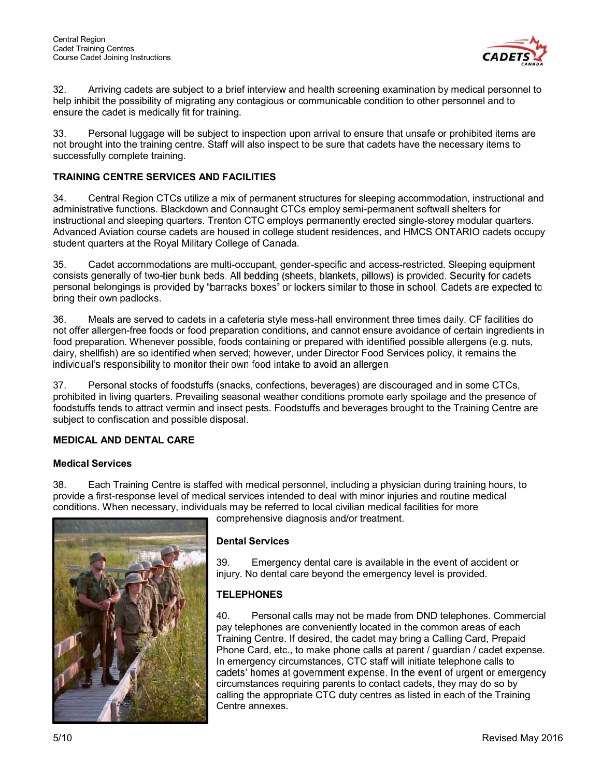

32. Arriving cadets are subject to a brief interview and health screening examination by medical personnel to help inhibit the possibility of migrating any contagious or communicable condition to other personnel and to ensure the cadet is medically fit for training.

33. Personal luggage will be subject to inspection upon arrival to ensure that unsafe or prohibited items are not brought into the training centre. Staff will also inspect to be sure that cadets have the necessary items to successfully complete training.

#### TRAINING CENTRE SERVICES AND FACILITIES

34. Central Region CTCs utilize a mix of permanent structures for sleeping accommodation, instructional and administrative functions. Blackdown and Connaught CTCs employ semi-permanent softwall shelters for instructional and sleeping quarters. Trenton CTC employs permanently erected single-storey modular quarters. Advanced Aviation course cadets are housed in college student residences, and HMCS ONTARIO cadets occupy student quarters at the Royal Military College of Canada.

35. Cadet accommodations are multi-occupant, gender-specific and access-restricted. Sleeping equipment consists generally of two-tier bunk beds. All bedding (sheets, blankets, pillows) is provided. Security for cadets' personal belongings is provided by "barracks boxes" or lockers similar to those in school. Cadets are expected to bring their own padlocks.

36. Meals are served to cadets in a cafeteria style mess-hall environment three times daily. CF facilities do not offer allergen-free foods or food preparation conditions, and cannot ensure avoidance of certain ingredients in food preparation. Whenever possible, foods containing or prepared with identified possible allergens (e.g. nuts, dairy, shellfish) are so identified when served; however, under Director Food Services policy, it remains the individual's responsibility to monitor their own food intake to avoid an allergen.

37. Personal stocks of foodstuffs (snacks, confections, beverages) are discouraged and in some CTCs, prohibited in living quarters. Prevailing seasonal weather conditions promote early spoilage and the presence of foodstuffs tends to attract vermin and insect pests. Foodstuffs and beverages brought to the Training Centre are subject to confiscation and possible disposal.

#### MEDICAL AND DENTAL CARE

#### Medical Services

38. Each Training Centre is staffed with medical personnel, including a physician during training hours, to provide a first-response level of medical services intended to deal with minor injuries and routine medical conditions. When necessary, individuals may be referred to local civilian medical facilities for more comprehensive diagnosis and/or treatment.



Dental Services

39. Emergency dental care is available in the event of accident or injury. No dental care beyond the emergency level is provided.

#### **TELEPHONES**

40. Personal calls may not be made from DND telephones. Commercial pay telephones are conveniently located in the common areas of each Training Centre. If desired, the cadet may bring a Calling Card, Prepaid Phone Card, etc., to make phone calls at parent / guardian / cadet expense. In emergency circumstances, CTC staff will initiate telephone calls to cadets' homes at government expense. In the event of urgent or emergency circumstances requiring parents to contact cadets, they may do so by calling the appropriate CTC duty centres as listed in each of the Training Centre annexes.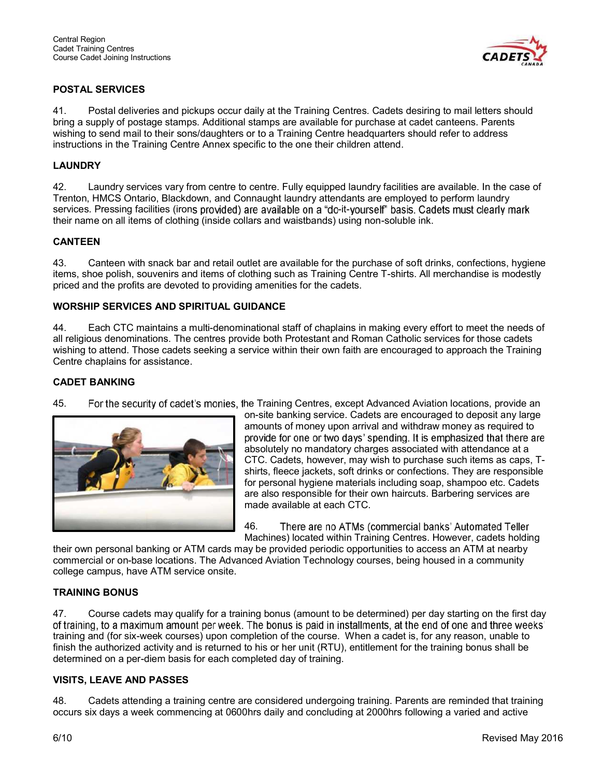

# POSTAL SERVICES

41. Postal deliveries and pickups occur daily at the Training Centres. Cadets desiring to mail letters should bring a supply of postage stamps. Additional stamps are available for purchase at cadet canteens. Parents wishing to send mail to their sons/daughters or to a Training Centre headquarters should refer to address instructions in the Training Centre Annex specific to the one their children attend.

#### LAUNDRY

42. Laundry services vary from centre to centre. Fully equipped laundry facilities are available. In the case of Trenton, HMCS Ontario, Blackdown, and Connaught laundry attendants are employed to perform laundry services. Pressing facilities (irons provided) are available on a "do-it-yourself" basis. Cadets must clearly mark their name on all items of clothing (inside collars and waistbands) using non-soluble ink.

#### CANTEEN

43. Canteen with snack bar and retail outlet are available for the purchase of soft drinks, confections, hygiene items, shoe polish, souvenirs and items of clothing such as Training Centre T-shirts. All merchandise is modestly priced and the profits are devoted to providing amenities for the cadets.

#### WORSHIP SERVICES AND SPIRITUAL GUIDANCE

44. Each CTC maintains a multi-denominational staff of chaplains in making every effort to meet the needs of all religious denominations. The centres provide both Protestant and Roman Catholic services for those cadets wishing to attend. Those cadets seeking a service within their own faith are encouraged to approach the Training Centre chaplains for assistance.

#### CADET BANKING

45. For the security of cadet's monies, the Training Centres, except Advanced Aviation locations, provide an



on-site banking service. Cadets are encouraged to deposit any large amounts of money upon arrival and withdraw money as required to provide for one or two days' spending. It is emphasized that there are absolutely no mandatory charges associated with attendance at a CTC. Cadets, however, may wish to purchase such items as caps, Tshirts, fleece jackets, soft drinks or confections. They are responsible for personal hygiene materials including soap, shampoo etc. Cadets are also responsible for their own haircuts. Barbering services are made available at each CTC.

46. There are no ATMs (commercial banks' Automated Teller Machines) located within Training Centres. However, cadets holding

their own personal banking or ATM cards may be provided periodic opportunities to access an ATM at nearby commercial or on-base locations. The Advanced Aviation Technology courses, being housed in a community college campus, have ATM service onsite.

#### TRAINING BONUS

47. Course cadets may qualify for a training bonus (amount to be determined) per day starting on the first day of training, to a maximum amount per week. The bonus is paid in installments, at the end of one and three weeks' training and (for six-week courses) upon completion of the course. When a cadet is, for any reason, unable to finish the authorized activity and is returned to his or her unit (RTU), entitlement for the training bonus shall be determined on a per-diem basis for each completed day of training.

#### VISITS, LEAVE AND PASSES

48. Cadets attending a training centre are considered undergoing training. Parents are reminded that training occurs six days a week commencing at 0600hrs daily and concluding at 2000hrs following a varied and active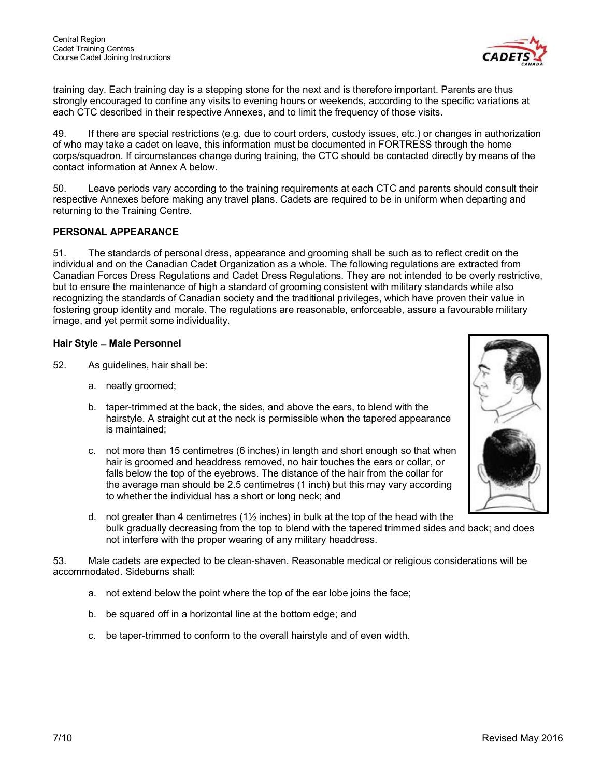

training day. Each training day is a stepping stone for the next and is therefore important. Parents are thus strongly encouraged to confine any visits to evening hours or weekends, according to the specific variations at each CTC described in their respective Annexes, and to limit the frequency of those visits.

49. If there are special restrictions (e.g. due to court orders, custody issues, etc.) or changes in authorization of who may take a cadet on leave, this information must be documented in FORTRESS through the home corps/squadron. If circumstances change during training, the CTC should be contacted directly by means of the contact information at Annex A below.

50. Leave periods vary according to the training requirements at each CTC and parents should consult their respective Annexes before making any travel plans. Cadets are required to be in uniform when departing and returning to the Training Centre.

#### PERSONAL APPEARANCE

51. The standards of personal dress, appearance and grooming shall be such as to reflect credit on the individual and on the Canadian Cadet Organization as a whole. The following regulations are extracted from Canadian Forces Dress Regulations and Cadet Dress Regulations. They are not intended to be overly restrictive, but to ensure the maintenance of high a standard of grooming consistent with military standards while also recognizing the standards of Canadian society and the traditional privileges, which have proven their value in fostering group identity and morale. The regulations are reasonable, enforceable, assure a favourable military image, and yet permit some individuality.

#### Hair Style - Male Personnel

- 52. As guidelines, hair shall be:
	- a. neatly groomed;
	- b. taper-trimmed at the back, the sides, and above the ears, to blend with the hairstyle. A straight cut at the neck is permissible when the tapered appearance is maintained;
	- c. not more than 15 centimetres (6 inches) in length and short enough so that when hair is groomed and headdress removed, no hair touches the ears or collar, or falls below the top of the eyebrows. The distance of the hair from the collar for the average man should be 2.5 centimetres (1 inch) but this may vary according to whether the individual has a short or long neck; and
	- d. not greater than 4 centimetres  $(1\frac{1}{2}$  inches) in bulk at the top of the head with the bulk gradually decreasing from the top to blend with the tapered trimmed sides and back; and does not interfere with the proper wearing of any military headdress.

53. Male cadets are expected to be clean-shaven. Reasonable medical or religious considerations will be accommodated. Sideburns shall:

- a. not extend below the point where the top of the ear lobe joins the face;
- b. be squared off in a horizontal line at the bottom edge; and
- c. be taper-trimmed to conform to the overall hairstyle and of even width.

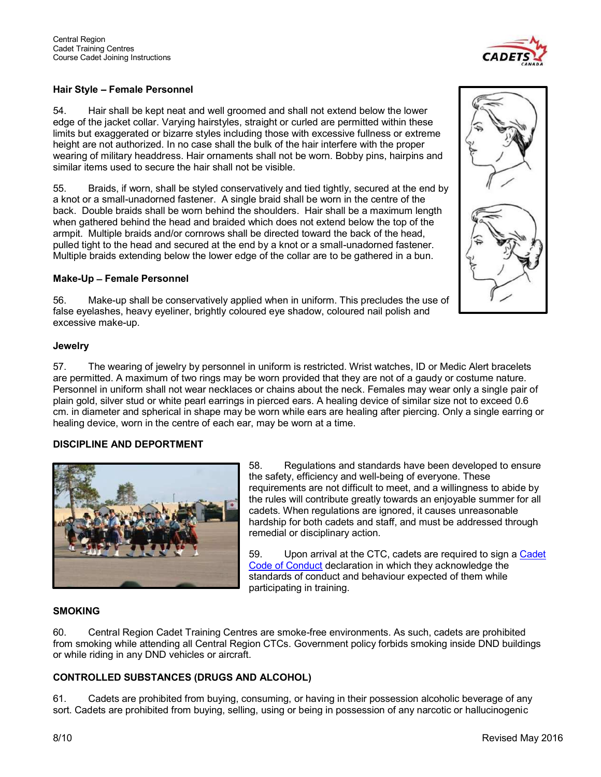

#### Hair Style - Female Personnel

54. Hair shall be kept neat and well groomed and shall not extend below the lower edge of the jacket collar. Varying hairstyles, straight or curled are permitted within these limits but exaggerated or bizarre styles including those with excessive fullness or extreme height are not authorized. In no case shall the bulk of the hair interfere with the proper wearing of military headdress. Hair ornaments shall not be worn. Bobby pins, hairpins and similar items used to secure the hair shall not be visible.

55. Braids, if worn, shall be styled conservatively and tied tightly, secured at the end by a knot or a small-unadorned fastener. A single braid shall be worn in the centre of the back. Double braids shall be worn behind the shoulders. Hair shall be a maximum length when gathered behind the head and braided which does not extend below the top of the armpit. Multiple braids and/or cornrows shall be directed toward the back of the head, pulled tight to the head and secured at the end by a knot or a small-unadorned fastener. Multiple braids extending below the lower edge of the collar are to be gathered in a bun.

#### Make-Up - Female Personnel

56. Make-up shall be conservatively applied when in uniform. This precludes the use of false eyelashes, heavy eyeliner, brightly coloured eye shadow, coloured nail polish and excessive make-up.

#### **Jewelry**

57. The wearing of jewelry by personnel in uniform is restricted. Wrist watches, ID or Medic Alert bracelets are permitted. A maximum of two rings may be worn provided that they are not of a gaudy or costume nature. Personnel in uniform shall not wear necklaces or chains about the neck. Females may wear only a single pair of plain gold, silver stud or white pearl earrings in pierced ears. A healing device of similar size not to exceed 0.6 cm. in diameter and spherical in shape may be worn while ears are healing after piercing. Only a single earring or healing device, worn in the centre of each ear, may be worn at a time.

#### DISCIPLINE AND DEPORTMENT



58. Regulations and standards have been developed to ensure the safety, efficiency and well-being of everyone. These requirements are not difficult to meet, and a willingness to abide by the rules will contribute greatly towards an enjoyable summer for all cadets. When regulations are ignored, it causes unreasonable hardship for both cadets and staff, and must be addressed through remedial or disciplinary action.

59. Upon arrival at the CTC, cadets are required to sign a Cadet Code of Conduct declaration in which they acknowledge the standards of conduct and behaviour expected of them while participating in training.

#### **SMOKING**

60. Central Region Cadet Training Centres are smoke-free environments. As such, cadets are prohibited from smoking while attending all Central Region CTCs. Government policy forbids smoking inside DND buildings or while riding in any DND vehicles or aircraft.

#### CONTROLLED SUBSTANCES (DRUGS AND ALCOHOL)

61. Cadets are prohibited from buying, consuming, or having in their possession alcoholic beverage of any sort. Cadets are prohibited from buying, selling, using or being in possession of any narcotic or hallucinogenic

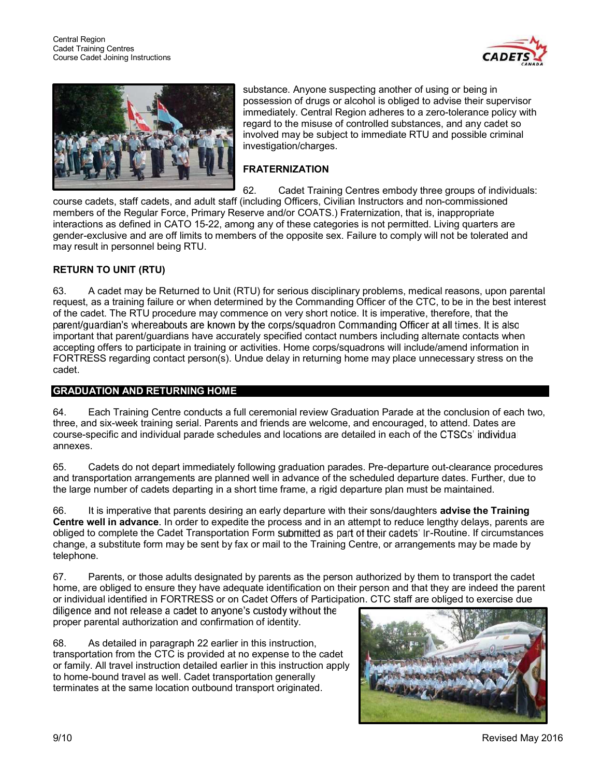



substance. Anyone suspecting another of using or being in possession of drugs or alcohol is obliged to advise their supervisor immediately. Central Region adheres to a zero-tolerance policy with regard to the misuse of controlled substances, and any cadet so involved may be subject to immediate RTU and possible criminal investigation/charges.

# FRATERNIZATION

62. Cadet Training Centres embody three groups of individuals: course cadets, staff cadets, and adult staff (including Officers, Civilian Instructors and non-commissioned members of the Regular Force, Primary Reserve and/or COATS.) Fraternization, that is, inappropriate interactions as defined in CATO 15-22, among any of these categories is not permitted. Living quarters are gender-exclusive and are off limits to members of the opposite sex. Failure to comply will not be tolerated and may result in personnel being RTU.

#### RETURN TO UNIT (RTU)

63. A cadet may be Returned to Unit (RTU) for serious disciplinary problems, medical reasons, upon parental request, as a training failure or when determined by the Commanding Officer of the CTC, to be in the best interest of the cadet. The RTU procedure may commence on very short notice. It is imperative, therefore, that the parent/guardian's whereabouts are known by the corps/squadron Commanding Officer at all times. It is also important that parent/guardians have accurately specified contact numbers including alternate contacts when accepting offers to participate in training or activities. Home corps/squadrons will include/amend information in FORTRESS regarding contact person(s). Undue delay in returning home may place unnecessary stress on the cadet.

#### GRADUATION AND RETURNING HOME

64. Each Training Centre conducts a full ceremonial review Graduation Parade at the conclusion of each two, three, and six-week training serial. Parents and friends are welcome, and encouraged, to attend. Dates are course-specific and individual parade schedules and locations are detailed in each of the annexes.

65. Cadets do not depart immediately following graduation parades. Pre-departure out-clearance procedures and transportation arrangements are planned well in advance of the scheduled departure dates. Further, due to the large number of cadets departing in a short time frame, a rigid departure plan must be maintained.

66. It is imperative that parents desiring an early departure with their sons/daughters **advise the Training** Centre well in advance. In order to expedite the process and in an attempt to reduce lengthy delays, parents are obliged to complete the Cadet Transportation Form submitted as part of their cadets' In-Routine. If circumstances change, a substitute form may be sent by fax or mail to the Training Centre, or arrangements may be made by telephone.

67. Parents, or those adults designated by parents as the person authorized by them to transport the cadet home, are obliged to ensure they have adequate identification on their person and that they are indeed the parent or individual identified in FORTRESS or on Cadet Offers of Participation. CTC staff are obliged to exercise due<br>diligence and not release a cadet to anyone's custody without the

proper parental authorization and confirmation of identity.

68. As detailed in paragraph 22 earlier in this instruction, transportation from the CTC is provided at no expense to the cadet or family. All travel instruction detailed earlier in this instruction apply to home-bound travel as well. Cadet transportation generally terminates at the same location outbound transport originated.

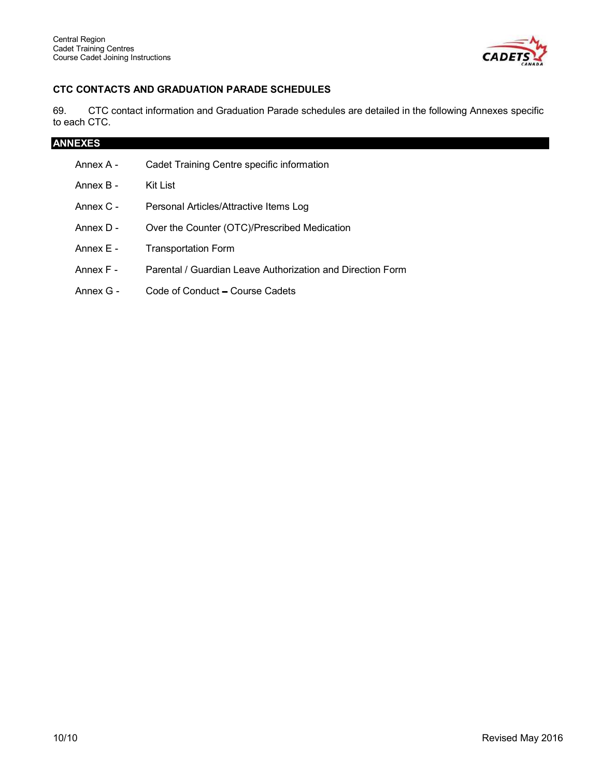

# CTC CONTACTS AND GRADUATION PARADE SCHEDULES

69. CTC contact information and Graduation Parade schedules are detailed in the following Annexes specific to each CTC.

| <b>ANNEXES</b> |                                                            |  |  |  |  |  |
|----------------|------------------------------------------------------------|--|--|--|--|--|
| Annex A -      | Cadet Training Centre specific information                 |  |  |  |  |  |
| Annex B -      | Kit List                                                   |  |  |  |  |  |
| Annex C -      | Personal Articles/Attractive Items Log                     |  |  |  |  |  |
| Annex D -      | Over the Counter (OTC)/Prescribed Medication               |  |  |  |  |  |
| Annex E -      | <b>Transportation Form</b>                                 |  |  |  |  |  |
| Annex F -      | Parental / Guardian Leave Authorization and Direction Form |  |  |  |  |  |
| Annex G -      | Code of Conduct – Course Cadets                            |  |  |  |  |  |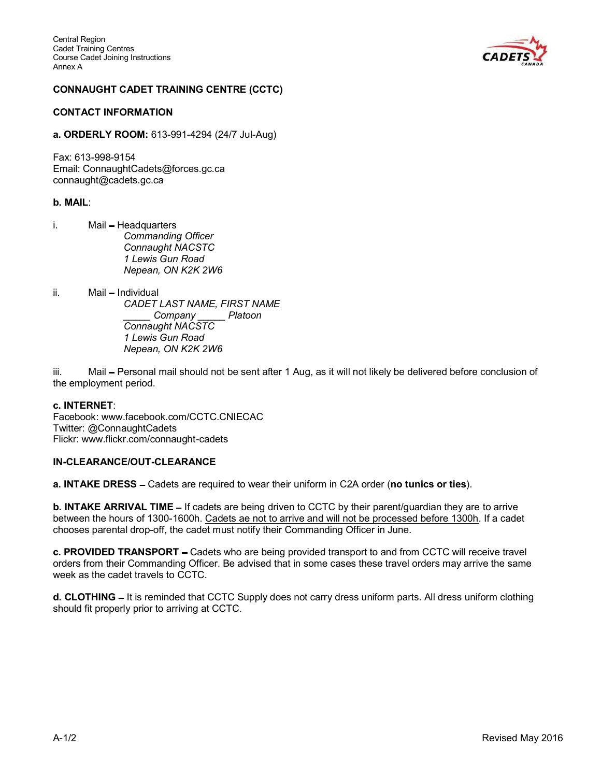

#### CONNAUGHT CADET TRAINING CENTRE (CCTC)

#### CONTACT INFORMATION

a. ORDERLY ROOM: 613-991-4294 (24/7 Jul-Aug)

Fax: 613-998-9154 Email: ConnaughtCadets@forces.gc.ca connaught@cadets.gc.ca

#### b. MAIL:

- i. Mail Headquarters Commanding Officer Connaught NACSTC 1 Lewis Gun Road Nepean, ON K2K 2W6
- ii. Mail Individual CADET LAST NAME, FIRST NAME \_\_\_\_\_ Company \_\_\_\_\_ Platoon Connaught NACSTC 1 Lewis Gun Road Nepean, ON K2K 2W6

iii. Mail – Personal mail should not be sent after 1 Aug, as it will not likely be delivered before conclusion of the employment period.

#### c. INTERNET:

Facebook: www.facebook.com/CCTC.CNIECAC Twitter: @ConnaughtCadets Flickr: www.flickr.com/connaught-cadets

#### IN-CLEARANCE/OUT-CLEARANCE

a. INTAKE DRESS - Cadets are required to wear their uniform in C2A order (no tunics or ties).

b. INTAKE ARRIVAL TIME – If cadets are being driven to CCTC by their parent/guardian they are to arrive between the hours of 1300-1600h. Cadets ae not to arrive and will not be processed before 1300h. If a cadet chooses parental drop-off, the cadet must notify their Commanding Officer in June.

c. PROVIDED TRANSPORT - Cadets who are being provided transport to and from CCTC will receive travel orders from their Commanding Officer. Be advised that in some cases these travel orders may arrive the same week as the cadet travels to CCTC.

d. CLOTHING - It is reminded that CCTC Supply does not carry dress uniform parts. All dress uniform clothing should fit properly prior to arriving at CCTC.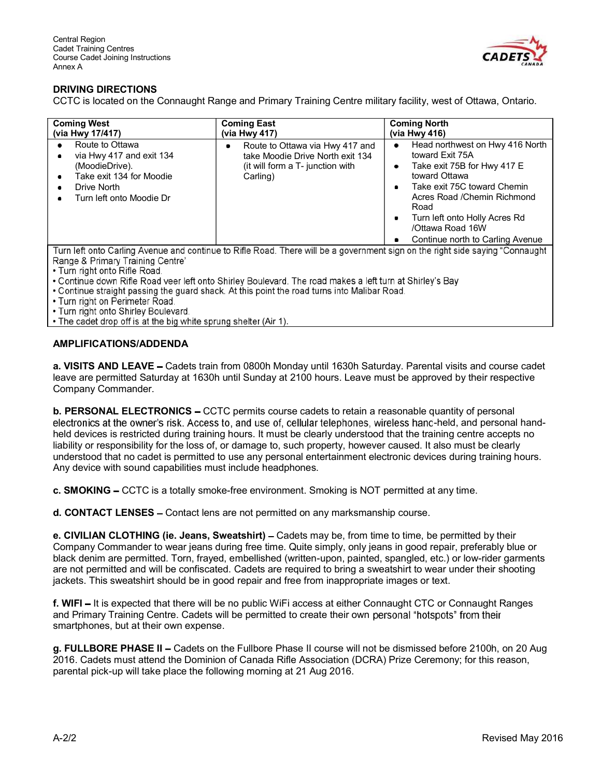

# DRIVING DIRECTIONS

CCTC is located on the Connaught Range and Primary Training Centre military facility, west of Ottawa, Ontario.

| <b>Coming West</b>                                                                                                                                                       | <b>Coming East</b>                                                                                                       | <b>Coming North</b>                                                                                                                                                                                                                                                                    |
|--------------------------------------------------------------------------------------------------------------------------------------------------------------------------|--------------------------------------------------------------------------------------------------------------------------|----------------------------------------------------------------------------------------------------------------------------------------------------------------------------------------------------------------------------------------------------------------------------------------|
| (via Hwy 17/417)                                                                                                                                                         | (via Hwy 417)                                                                                                            | (via Hwy 416)                                                                                                                                                                                                                                                                          |
| Route to Ottawa<br>via Hwy 417 and exit 134<br>$\bullet$<br>(MoodieDrive).<br>Take exit 134 for Moodie<br>٠<br>Drive North<br>٠<br>Turn left onto Moodie Dr<br>$\bullet$ | Route to Ottawa via Hwy 417 and<br>٠<br>take Moodie Drive North exit 134<br>(it will form a T- junction with<br>Carling) | Head northwest on Hwy 416 North<br>۰<br>toward Exit 75A<br>Take exit 75B for Hwy 417 E<br>۰<br>toward Ottawa<br>Take exit 75C toward Chemin<br>٠<br>Acres Road / Chemin Richmond<br>Road<br>Turn left onto Holly Acres Rd<br>٠<br>/Ottawa Road 16W<br>Continue north to Carling Avenue |

Turn left onto Carling Avenue and continue to Rifle Road. There will be a government sign on the right side saying "Connaught Range & Primary Training Centre"

. Turn right onto Rifle Road.

. Continue down Rifle Road veer left onto Shirley Boulevard. The road makes a left turn at Shirley's Bay.

. Continue straight passing the guard shack. At this point the road turns into Malibar Road.

• Turn right on Perimeter Road.

. Turn right onto Shirley Boulevard.

• The cadet drop off is at the big white sprung shelter (Air 1).

#### AMPLIFICATIONS/ADDENDA

a. VISITS AND LEAVE - Cadets train from 0800h Monday until 1630h Saturday. Parental visits and course cadet leave are permitted Saturday at 1630h until Sunday at 2100 hours. Leave must be approved by their respective Company Commander.

**b. PERSONAL ELECTRONICS –** CCTC permits course cadets to retain a reasonable quantity of personal electronics at the owner's risk. Access to, and use of, cellular telephones, wireless hand-held, and personal handheld devices is restricted during training hours. It must be clearly understood that the training centre accepts no liability or responsibility for the loss of, or damage to, such property, however caused. It also must be clearly understood that no cadet is permitted to use any personal entertainment electronic devices during training hours. Any device with sound capabilities must include headphones.

c. SMOKING - CCTC is a totally smoke-free environment. Smoking is NOT permitted at any time.

d. CONTACT LENSES - Contact lens are not permitted on any marksmanship course.

e. CIVILIAN CLOTHING (ie. Jeans, Sweatshirt) – Cadets may be, from time to time, be permitted by their Company Commander to wear jeans during free time. Quite simply, only jeans in good repair, preferably blue or black denim are permitted. Torn, frayed, embellished (written-upon, painted, spangled, etc.) or low-rider garments are not permitted and will be confiscated. Cadets are required to bring a sweatshirt to wear under their shooting jackets. This sweatshirt should be in good repair and free from inappropriate images or text.

f. WIFI - It is expected that there will be no public WiFi access at either Connaught CTC or Connaught Ranges and Primary Training Centre. Cadets will be permitted to create their own personal "hotspots" from their smartphones, but at their own expense.

g. FULLBORE PHASE II - Cadets on the Fullbore Phase II course will not be dismissed before 2100h, on 20 Aug 2016. Cadets must attend the Dominion of Canada Rifle Association (DCRA) Prize Ceremony; for this reason, parental pick-up will take place the following morning at 21 Aug 2016.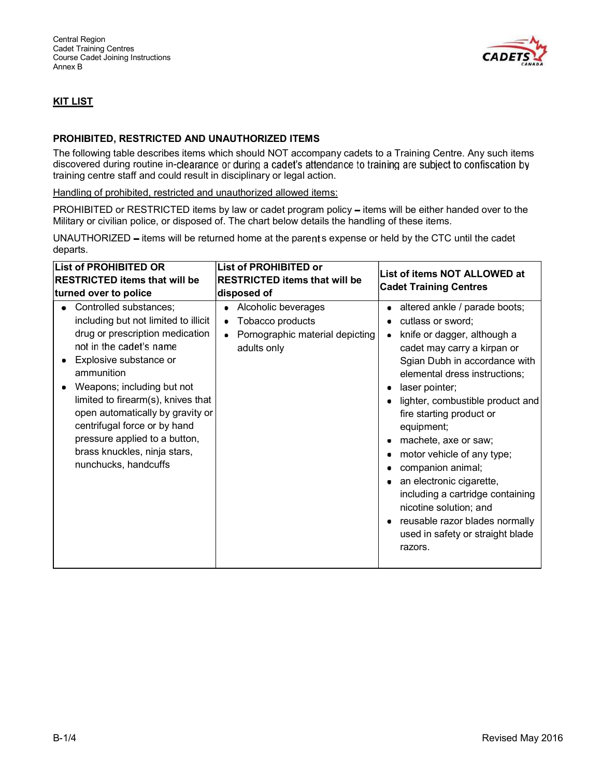

# KIT LIST

#### PROHIBITED, RESTRICTED AND UNAUTHORIZED ITEMS

The following table describes items which should NOT accompany cadets to a Training Centre. Any such items discovered during routine in-clearance or during a cadet's attendance to training are subject to confiscation by training centre staff and could result in disciplinary or legal action.

#### Handling of prohibited, restricted and unauthorized allowed items:

PROHIBITED or RESTRICTED items by law or cadet program policy - items will be either handed over to the Military or civilian police, or disposed of. The chart below details the handling of these items.

UNAUTHORIZED - items will be returned home at the parent's expense or held by the CTC until the cadet departs.

| <b>List of PROHIBITED OR</b>                                                                                                                                                                                                                                                                                                                                                                                                   | <b>List of PROHIBITED or</b>                                                                                            | List of items NOT ALLOWED at<br><b>Cadet Training Centres</b>                                                                                                                                                                                                                                                                                                                                                                                                                                                                            |  |  |
|--------------------------------------------------------------------------------------------------------------------------------------------------------------------------------------------------------------------------------------------------------------------------------------------------------------------------------------------------------------------------------------------------------------------------------|-------------------------------------------------------------------------------------------------------------------------|------------------------------------------------------------------------------------------------------------------------------------------------------------------------------------------------------------------------------------------------------------------------------------------------------------------------------------------------------------------------------------------------------------------------------------------------------------------------------------------------------------------------------------------|--|--|
| <b>RESTRICTED items that will be</b>                                                                                                                                                                                                                                                                                                                                                                                           | <b>RESTRICTED items that will be</b>                                                                                    |                                                                                                                                                                                                                                                                                                                                                                                                                                                                                                                                          |  |  |
|                                                                                                                                                                                                                                                                                                                                                                                                                                |                                                                                                                         |                                                                                                                                                                                                                                                                                                                                                                                                                                                                                                                                          |  |  |
| turned over to police<br>Controlled substances;<br>including but not limited to illicit<br>drug or prescription medication<br>not in the cadet's name<br>Explosive substance or<br>ammunition<br>Weapons; including but not<br>limited to firearm(s), knives that<br>open automatically by gravity or<br>centrifugal force or by hand<br>pressure applied to a button,<br>brass knuckles, ninja stars,<br>nunchucks, handcuffs | disposed of<br>Alcoholic beverages<br>٠<br>Tobacco products<br>٠<br>Pornographic material depicting<br>٠<br>adults only | altered ankle / parade boots;<br>cutlass or sword;<br>knife or dagger, although a<br>cadet may carry a kirpan or<br>Sgian Dubh in accordance with<br>elemental dress instructions;<br>laser pointer;<br>lighter, combustible product and<br>fire starting product or<br>equipment;<br>machete, axe or saw;<br>motor vehicle of any type;<br>companion animal;<br>an electronic cigarette,<br>including a cartridge containing<br>nicotine solution; and<br>reusable razor blades normally<br>used in safety or straight blade<br>razors. |  |  |
|                                                                                                                                                                                                                                                                                                                                                                                                                                |                                                                                                                         |                                                                                                                                                                                                                                                                                                                                                                                                                                                                                                                                          |  |  |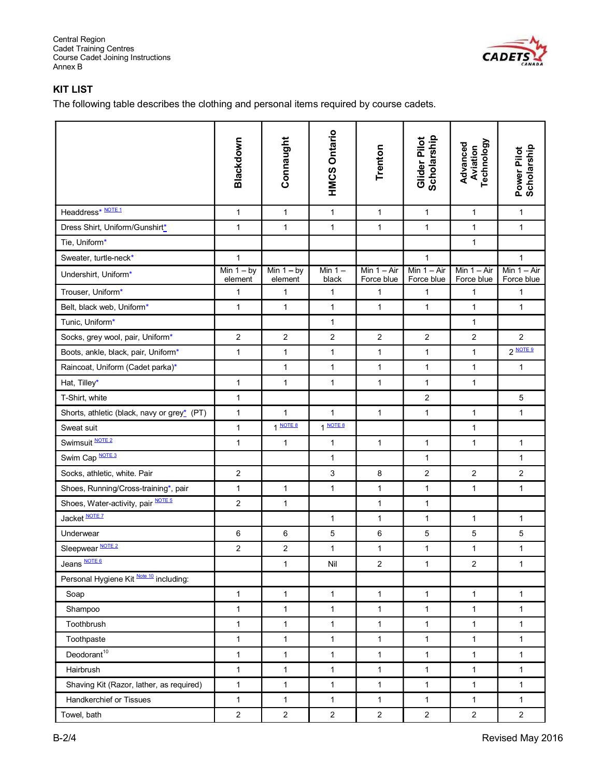

# KIT LIST

The following table describes the clothing and personal items required by course cadets.

|                                             | Blackdown               | Connaught               | <b>HMCS Ontario</b> | Trenton                     | Scholarship<br>Glider Pilot | Technology<br>Advanced<br>Aviation | Power Pilot<br>Scholarship  |
|---------------------------------------------|-------------------------|-------------------------|---------------------|-----------------------------|-----------------------------|------------------------------------|-----------------------------|
| Headdress* NOTE1                            | $\mathbf{1}$            | $\mathbf{1}$            | $\mathbf{1}$        | $\mathbf{1}$                | $\mathbf{1}$                | $\mathbf{1}$                       | $\mathbf{1}$                |
| Dress Shirt, Uniform/Gunshirt*              | 1                       | $\mathbf{1}$            | $\mathbf{1}$        | $\mathbf{1}$                | $\mathbf{1}$                | 1                                  | $\mathbf{1}$                |
| Tie, Uniform*                               |                         |                         |                     |                             |                             | $\mathbf{1}$                       |                             |
| Sweater, turtle-neck*                       | $\mathbf{1}$            |                         |                     |                             | $\mathbf{1}$                |                                    | $\mathbf{1}$                |
| Undershirt, Uniform*                        | Min $1 - by$<br>element | Min $1 - by$<br>element | Min $1 -$<br>black  | Min $1 - Air$<br>Force blue | Min $1 - Air$<br>Force blue | Min $1 - Air$<br>Force blue        | Min $1 - Air$<br>Force blue |
| Trouser, Uniform*                           | 1                       | $\mathbf{1}$            | 1                   | 1                           | 1                           | 1                                  | 1                           |
| Belt, black web, Uniform*                   | $\mathbf{1}$            | $\mathbf{1}$            | 1                   | $\mathbf{1}$                | $\mathbf{1}$                | $\mathbf{1}$                       | $\mathbf{1}$                |
| Tunic, Uniform*                             |                         |                         | 1                   |                             |                             | 1                                  |                             |
| Socks, grey wool, pair, Uniform*            | $\overline{2}$          | $\overline{c}$          | $\overline{c}$      | $\overline{2}$              | $\overline{2}$              | $\overline{2}$                     | $\overline{2}$              |
| Boots, ankle, black, pair, Uniform*         | $\mathbf{1}$            | $\mathbf{1}$            | $\mathbf{1}$        | $\mathbf{1}$                | $\mathbf{1}$                | $\mathbf{1}$                       | 2 NOTE 9                    |
| Raincoat, Uniform (Cadet parka)*            |                         | $\mathbf{1}$            | $\mathbf{1}$        | $\mathbf{1}$                | $\mathbf{1}$                | $\mathbf{1}$                       | $\mathbf{1}$                |
| Hat, Tilley*                                | 1                       | $\mathbf{1}$            | $\mathbf{1}$        | $\mathbf{1}$                | $\mathbf{1}$                | $\mathbf{1}$                       |                             |
| T-Shirt, white                              | 1                       |                         |                     |                             | $\overline{c}$              |                                    | 5                           |
| Shorts, athletic (black, navy or grey* (PT) | $\mathbf{1}$            | $\mathbf{1}$            | $\mathbf{1}$        | $\mathbf{1}$                | $\mathbf{1}$                | $\mathbf{1}$                       | $\mathbf{1}$                |
| Sweat suit                                  | 1                       | 1 NOTE 8                | 1 NOTE 8            |                             |                             | 1                                  |                             |
| Swimsuit NOTE 2                             | 1                       | $\mathbf{1}$            | $\mathbf{1}$        | $\mathbf{1}$                | $\mathbf{1}$                | $\mathbf{1}$                       | $\mathbf{1}$                |
| Swim Cap NOTE 3                             |                         |                         | $\mathbf{1}$        |                             | $\mathbf{1}$                |                                    | $\mathbf{1}$                |
| Socks, athletic, white. Pair                | $\overline{2}$          |                         | 3                   | 8                           | $\boldsymbol{2}$            | $\overline{2}$                     | $\overline{2}$              |
| Shoes, Running/Cross-training*, pair        | 1                       | 1                       | $\mathbf{1}$        | $\mathbf{1}$                | $\mathbf{1}$                | 1                                  | 1                           |
| Shoes, Water-activity, pair NOTE 5          | $\overline{2}$          | $\mathbf{1}$            |                     | $\mathbf{1}$                | $\mathbf{1}$                |                                    |                             |
| Jacket NOTE 7                               |                         |                         | $\mathbf{1}$        | $\mathbf{1}$                | $\mathbf{1}$                | $\mathbf{1}$                       | $\mathbf{1}$                |
| Underwear                                   | 6                       | 6                       | 5                   | 6                           | $\mathbf 5$                 | 5                                  | $\sqrt{5}$                  |
| Sleepwear NOTE 2                            | $\overline{c}$          | $\overline{c}$          | 1                   | 1                           | 1                           | 1                                  | $\mathbf{1}$                |
| Jeans <b>NOTE 6</b>                         |                         | $\mathbf{1}$            | Nil                 | $\overline{c}$              | 1                           | $\overline{c}$                     | 1                           |
| Personal Hygiene Kit Note 10 including:     |                         |                         |                     |                             |                             |                                    |                             |
| Soap                                        | $\mathbf{1}$            | $\mathbf{1}$            | $\mathbf{1}$        | $\mathbf{1}$                | $\mathbf{1}$                | $\mathbf{1}$                       | $\mathbf{1}$                |
| Shampoo                                     | $\mathbf{1}$            | $\mathbf{1}$            | 1                   | $\mathbf{1}$                | $\mathbf{1}$                | $\mathbf{1}$                       | $\mathbf{1}$                |
| Toothbrush                                  | $\mathbf{1}$            | $\mathbf{1}$            | $\mathbf{1}$        | $\mathbf{1}$                | $\mathbf{1}$                | $\mathbf{1}$                       | $\mathbf{1}$                |
| Toothpaste                                  | $\mathbf{1}$            | $\mathbf{1}$            | $\mathbf{1}$        | $\mathbf{1}$                | $\mathbf{1}$                | $\mathbf{1}$                       | $\mathbf{1}$                |
| Deodorant <sup>10</sup>                     | 1                       | $\mathbf{1}$            | 1                   | 1                           | $\mathbf{1}$                | 1                                  | $\mathbf{1}$                |
| Hairbrush                                   | 1                       | $\mathbf{1}$            | $\mathbf{1}$        | 1                           | $\mathbf{1}$                | $\mathbf{1}$                       | $\mathbf{1}$                |
| Shaving Kit (Razor, lather, as required)    | $\mathbf{1}$            | $\mathbf{1}$            | $\mathbf{1}$        | $\mathbf{1}$                | $\mathbf{1}$                | $\mathbf{1}$                       | $\mathbf{1}$                |
| Handkerchief or Tissues                     | $\mathbf{1}$            | $\mathbf{1}$            | 1                   | $\mathbf{1}$                | $\mathbf{1}$                | $\mathbf{1}$                       | 1                           |
| Towel, bath                                 | $\overline{2}$          | $\overline{c}$          | $\overline{c}$      | $\overline{2}$              | $\overline{2}$              | $\overline{2}$                     | $\overline{c}$              |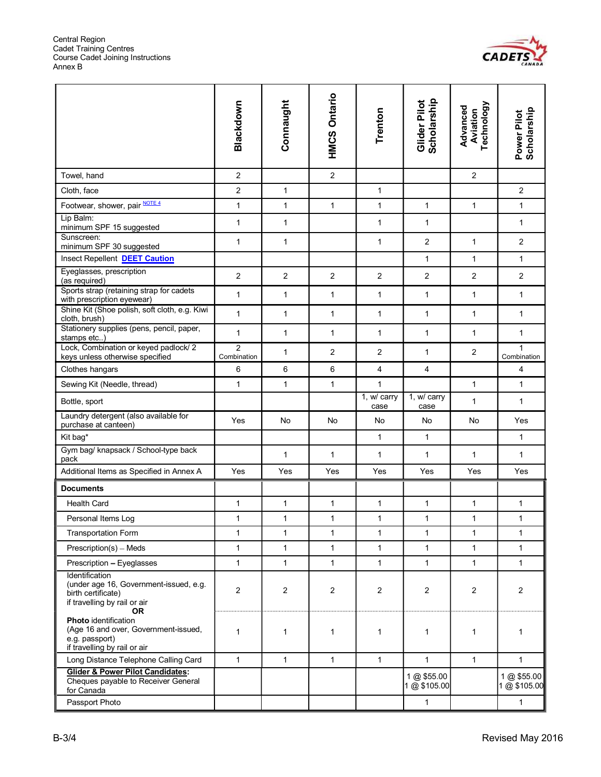

|                                                                                                                             | Blackdown                     | Connaught      | <b>HMCS Ontario</b> | Trenton             | Scholarship<br>Glider Pilot | Technology<br>Advanced<br>Aviation | Power Pilot<br>Scholarship  |
|-----------------------------------------------------------------------------------------------------------------------------|-------------------------------|----------------|---------------------|---------------------|-----------------------------|------------------------------------|-----------------------------|
| Towel, hand                                                                                                                 | $\overline{2}$                |                | $\overline{2}$      |                     |                             | $\overline{c}$                     |                             |
| Cloth, face                                                                                                                 | 2                             | $\mathbf{1}$   |                     | $\mathbf{1}$        |                             |                                    | $\overline{2}$              |
| Footwear, shower, pair NOTE 4                                                                                               | 1                             | $\mathbf{1}$   | $\mathbf{1}$        | $\mathbf{1}$        | $\mathbf{1}$                | $\mathbf{1}$                       | $\mathbf{1}$                |
| Lip Balm:<br>minimum SPF 15 suggested                                                                                       | 1                             | $\mathbf{1}$   |                     | $\mathbf{1}$        | $\mathbf{1}$                |                                    | $\mathbf{1}$                |
| Sunscreen:<br>minimum SPF 30 suggested                                                                                      | 1                             | $\mathbf{1}$   |                     | $\mathbf{1}$        | $\overline{2}$              | $\mathbf{1}$                       | $\overline{c}$              |
| Insect Repellent DEET Caution                                                                                               |                               |                |                     |                     | $\mathbf{1}$                | $\mathbf{1}$                       | 1                           |
| Eyeglasses, prescription<br>(as required)                                                                                   | $\overline{2}$                | $\overline{2}$ | $\overline{2}$      | $\overline{2}$      | $\overline{2}$              | $\overline{c}$                     | $\overline{c}$              |
| Sports strap (retaining strap for cadets<br>with prescription eyewear)                                                      | $\mathbf{1}$                  | $\mathbf{1}$   | $\mathbf{1}$        | $\mathbf{1}$        | $\mathbf{1}$                | $\mathbf{1}$                       | $\mathbf{1}$                |
| Shine Kit (Shoe polish, soft cloth, e.g. Kiwi<br>cloth, brush)                                                              | $\mathbf{1}$                  | $\mathbf{1}$   | $\mathbf{1}$        | $\mathbf{1}$        | $\mathbf{1}$                | $\mathbf{1}$                       | $\mathbf{1}$                |
| Stationery supplies (pens, pencil, paper,<br>stamps etc)                                                                    | 1                             | $\mathbf{1}$   | 1                   | $\mathbf{1}$        | 1                           | 1                                  | $\mathbf{1}$                |
| Lock, Combination or keyed padlock/2<br>keys unless otherwise specified                                                     | $\overline{2}$<br>Combination | $\mathbf{1}$   | $\overline{2}$      | $\overline{2}$      | 1                           | 2                                  | $\mathbf{1}$<br>Combination |
| Clothes hangars                                                                                                             | 6                             | 6              | 6                   | 4                   | 4                           |                                    | 4                           |
| Sewing Kit (Needle, thread)                                                                                                 | $\mathbf{1}$                  | $\mathbf{1}$   | $\mathbf{1}$        | $\mathbf{1}$        |                             | $\mathbf{1}$                       | $\mathbf{1}$                |
| Bottle, sport                                                                                                               |                               |                |                     | 1, w/ carry<br>case | 1, w/ carry<br>case         | 1                                  | 1                           |
| Laundry detergent (also available for<br>purchase at canteen)                                                               | Yes                           | <b>No</b>      | No                  | No                  | No                          | No                                 | Yes                         |
| Kit bag*                                                                                                                    |                               |                |                     | $\mathbf{1}$        | $\mathbf{1}$                |                                    | $\mathbf{1}$                |
| Gym bag/ knapsack / School-type back<br>pack                                                                                |                               | $\mathbf{1}$   | $\mathbf{1}$        | $\mathbf{1}$        | $\mathbf{1}$                | $\mathbf{1}$                       | $\mathbf{1}$                |
| Additional Items as Specified in Annex A                                                                                    | Yes                           | Yes            | Yes                 | Yes                 | Yes                         | Yes                                | Yes                         |
| <b>Documents</b>                                                                                                            |                               |                |                     |                     |                             |                                    |                             |
| <b>Health Card</b>                                                                                                          | $\mathbf{1}$                  | $\mathbf{1}$   | $\mathbf{1}$        | $\mathbf{1}$        | $\mathbf{1}$                | 1                                  | $\mathbf{1}$                |
| Personal Items Log                                                                                                          | 1                             | $\mathbf{1}$   | $\mathbf{1}$        | $\mathbf{1}$        | $\mathbf{1}$                | 1                                  | $\mathbf{1}$                |
| <b>Transportation Form</b>                                                                                                  | 1                             | $\mathbf{1}$   | $\mathbf{1}$        | $\mathbf{1}$        | $\mathbf{1}$                | 1                                  | $\mathbf{1}$                |
| Prescription(s) - Meds                                                                                                      | $\mathbf{1}$                  | $\mathbf{1}$   | $\mathbf{1}$        | $\mathbf{1}$        | $\mathbf{1}$                | 1                                  | $\mathbf{1}$                |
| Prescription - Eyeglasses                                                                                                   | 1                             | $\mathbf{1}$   | $\mathbf{1}$        | $\mathbf{1}$        | 1                           | $\mathbf{1}$                       | $\mathbf{1}$                |
| Identification<br>(under age 16, Government-issued, e.g.<br>birth certificate)<br>if travelling by rail or air<br><b>OR</b> | $\overline{c}$                | $\overline{2}$ | $\overline{2}$      | $\overline{2}$      | $\overline{2}$              | 2                                  | $\overline{2}$              |
| <b>Photo</b> identification<br>(Age 16 and over, Government-issued,<br>e.g. passport)<br>if travelling by rail or air       | 1                             | 1              | $\mathbf{1}$        | 1                   | 1                           | 1                                  | 1                           |
| Long Distance Telephone Calling Card                                                                                        | $\mathbf{1}$                  | $\mathbf{1}$   | $\mathbf{1}$        | $\mathbf{1}$        | $\mathbf{1}$                | $\mathbf{1}$                       | $\mathbf{1}$                |
| <b>Glider &amp; Power Pilot Candidates:</b><br>Cheques payable to Receiver General<br>for Canada                            |                               |                |                     |                     | 1 @ \$55.00<br>1 @ \$105.00 |                                    | 1 @ \$55.00<br>1 @ \$105.00 |
| Passport Photo                                                                                                              |                               |                |                     |                     | $\mathbf{1}$                |                                    | $\mathbf{1}$                |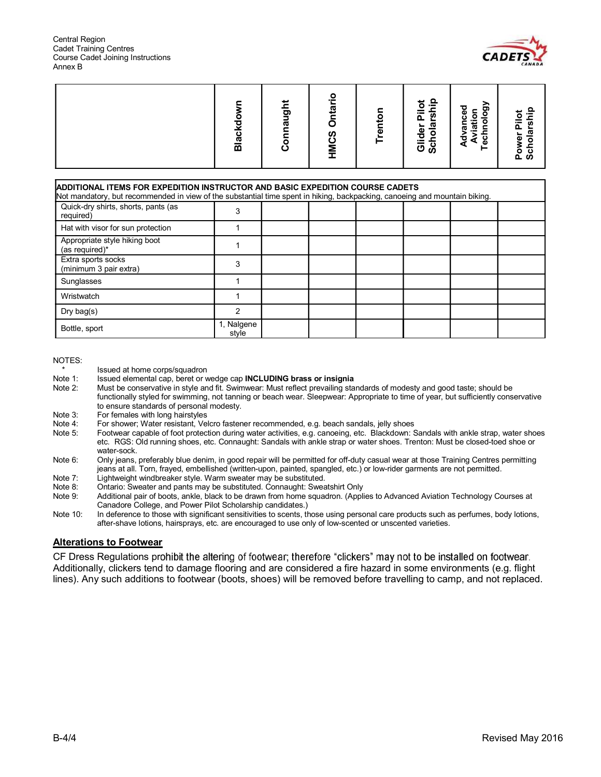

# Between the may be the second may be the second may be the second may be the second may be the second may be the second may be the second may be the second may be the second may be the second may be the second may be the ADDITIONAL ITEMS FOR EXPEDITION INSTRUCTOR AND BASIC EXPEDITION COURSE CADETS Not mandatory, but recommended in view of the substantial time spent in hiking, backpacking, canoeing and mountain biking. Quick-dry shirts, shorts, pants (as  $\begin{array}{|c|c|c|c|}\n\hline\n\text{required)} & & 3 \\
\hline\n\end{array}$ Hat with visor for sun protection 1 Appropriate style hiking boot Appropriate style finally boot<br>(as required)\* 1 Extra sports socks Extra sports socks<br>(minimum 3 pair extra) 3 Sunglasses 1 and 1 and 1 and 1 and 1 and 1 and 1 and 1 and 1 and 1 and 1 and 1 and 1 and 1 and 1 and 1 and 1 and 1 and 1 and 1 and 1 and 1 and 1 and 1 and 1 and 1 and 1 and 1 and 1 and 1 and 1 and 1 and 1 and 1 and 1 and 1 Wristwatch 1 1 1 Dry bag(s) 2 Bottle, sport 1, Nalgene style

#### NOTES:

- \* Issued at home corps/squadron<br>Note 1: Issued elemental cap, beret or v
- Issued elemental cap, beret or wedge cap **INCLUDING** brass or insignia
- Note 2: Must be conservative in style and fit. Swimwear: Must reflect prevailing standards of modesty and good taste; should be functionally styled for swimming, not tanning or beach wear. Sleepwear: Appropriate to time of year, but sufficiently conservative to ensure standards of personal modesty.
- Note 3: For females with long hairstyles
- Note 4: For shower; Water resistant, Velcro fastener recommended, e.g. beach sandals, jelly shoes<br>Note 5: Footwear capable of foot protection during water activities, e.g. canoeing, etc. Blackdown: S
- Footwear capable of foot protection during water activities, e.g. canoeing, etc. Blackdown: Sandals with ankle strap, water shoes etc. RGS: Old running shoes, etc. Connaught: Sandals with ankle strap or water shoes. Trenton: Must be closed-toed shoe or water-sock.
- Note 6: Only jeans, preferably blue denim, in good repair will be permitted for off-duty casual wear at those Training Centres permitting jeans at all. Torn, frayed, embellished (written-upon, painted, spangled, etc.) or low-rider garments are not permitted.
- Note 7: Lightweight windbreaker style. Warm sweater may be substituted.
- 
- Note 8: Ontario: Sweater and pants may be substituted. Connaught: Sweatshirt Only<br>Note 9: Additional pair of boots, ankle, black to be drawn from home squadron. (Appli Additional pair of boots, ankle, black to be drawn from home squadron. (Applies to Advanced Aviation Technology Courses at Canadore College, and Power Pilot Scholarship candidates.)
- Note 10: In deference to those with significant sensitivities to scents, those using personal care products such as perfumes, body lotions, after-shave lotions, hairsprays, etc. are encouraged to use only of low-scented or unscented varieties.

#### Alterations to Footwear

CF Dress Regulations prohibit the altering of footwear; therefore "clickers" may not to be installed on footwear. Additionally, clickers tend to damage flooring and are considered a fire hazard in some environments (e.g. flight lines). Any such additions to footwear (boots, shoes) will be removed before travelling to camp, and not replaced.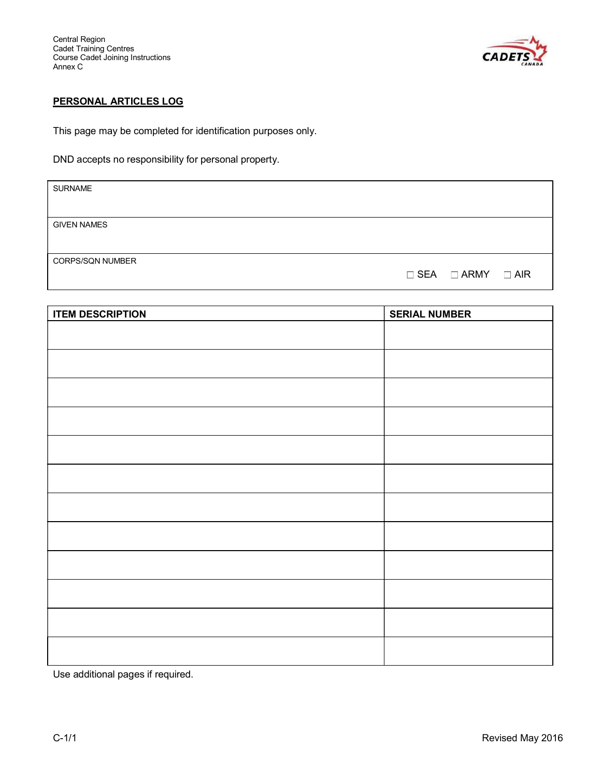

# PERSONAL ARTICLES LOG

This page may be completed for identification purposes only.

DND accepts no responsibility for personal property.

| <b>SURNAME</b>          |                                   |  |
|-------------------------|-----------------------------------|--|
|                         |                                   |  |
| <b>GIVEN NAMES</b>      |                                   |  |
|                         |                                   |  |
| <b>CORPS/SQN NUMBER</b> |                                   |  |
|                         | $\Box$ SEA $\Box$ ARMY $\Box$ AIR |  |

| <b>ITEM DESCRIPTION</b> | <b>SERIAL NUMBER</b> |
|-------------------------|----------------------|
|                         |                      |
|                         |                      |
|                         |                      |
|                         |                      |
|                         |                      |
|                         |                      |
|                         |                      |
|                         |                      |
|                         |                      |
|                         |                      |
|                         |                      |
|                         |                      |
|                         |                      |
|                         |                      |
|                         |                      |
|                         |                      |
|                         |                      |
|                         |                      |

Use additional pages if required.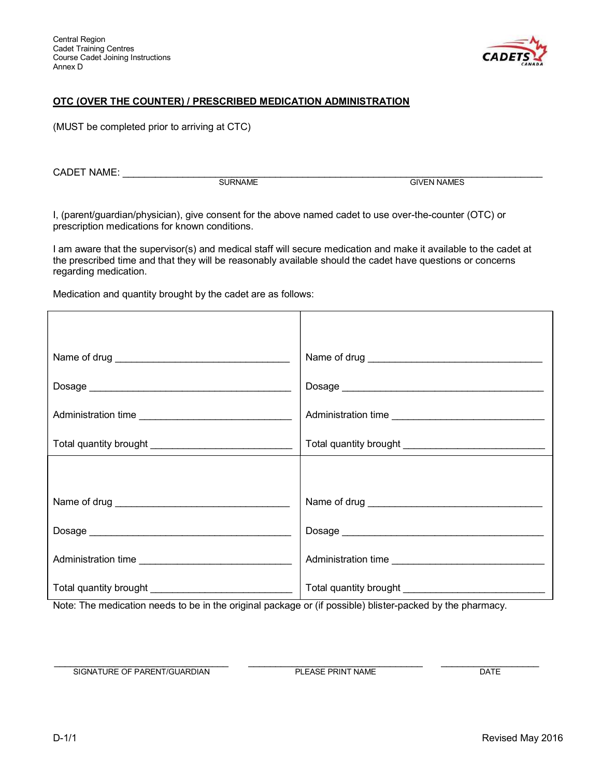

# OTC (OVER THE COUNTER) / PRESCRIBED MEDICATION ADMINISTRATION

(MUST be completed prior to arriving at CTC)

CADET NAME: \_\_\_\_\_\_\_\_\_\_\_\_\_\_\_\_\_\_\_\_\_\_\_\_\_\_\_\_\_\_\_\_\_\_\_\_\_\_\_\_\_\_\_\_\_\_\_\_\_\_\_\_\_\_\_\_\_\_\_\_\_\_\_\_\_\_\_\_\_\_\_\_\_\_\_\_\_

**GIVEN NAMES** 

I, (parent/guardian/physician), give consent for the above named cadet to use over-the-counter (OTC) or prescription medications for known conditions.

I am aware that the supervisor(s) and medical staff will secure medication and make it available to the cadet at the prescribed time and that they will be reasonably available should the cadet have questions or concerns regarding medication.

Medication and quantity brought by the cadet are as follows:

| Administration time | Administration time |
|---------------------|---------------------|
|                     |                     |

Note: The medication needs to be in the original package or (if possible) blister-packed by the pharmacy.

 \_\_\_\_\_\_\_\_\_\_\_\_\_\_\_\_\_\_\_\_\_\_\_\_\_\_\_\_\_\_\_\_ \_\_\_\_\_\_\_\_\_\_\_\_\_\_\_\_\_\_\_\_\_\_\_\_\_\_\_\_\_\_\_\_ \_\_\_\_\_\_\_\_\_\_\_\_\_\_\_\_\_\_ SIGNATURE OF PARENT/GUARDIAN PLEASE PRINT NAME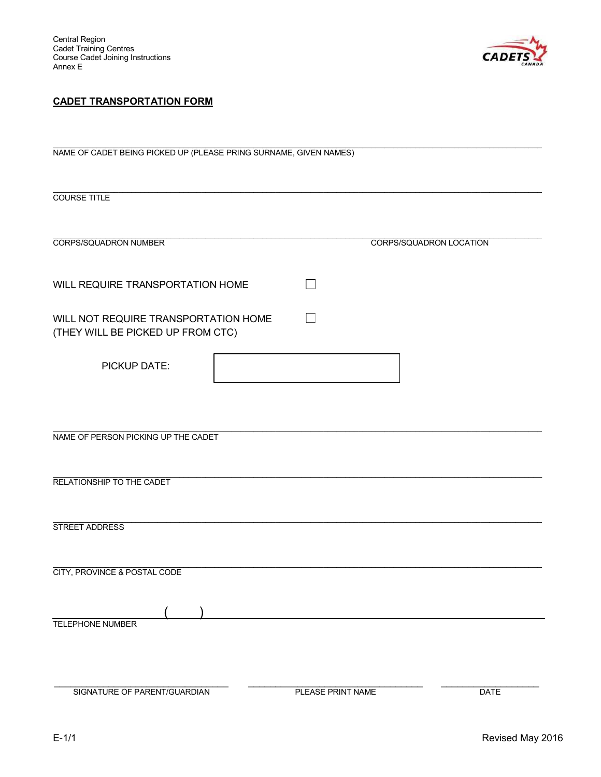

# CADET TRANSPORTATION FORM

| NAME OF CADET BEING PICKED UP (PLEASE PRING SURNAME, GIVEN NAMES)         |                   |                                |  |  |  |
|---------------------------------------------------------------------------|-------------------|--------------------------------|--|--|--|
| <b>COURSE TITLE</b>                                                       |                   |                                |  |  |  |
| <b>CORPS/SQUADRON NUMBER</b>                                              |                   | <b>CORPS/SQUADRON LOCATION</b> |  |  |  |
| WILL REQUIRE TRANSPORTATION HOME                                          | ┓                 |                                |  |  |  |
| WILL NOT REQUIRE TRANSPORTATION HOME<br>(THEY WILL BE PICKED UP FROM CTC) |                   |                                |  |  |  |
| PICKUP DATE:                                                              |                   |                                |  |  |  |
|                                                                           |                   |                                |  |  |  |
| NAME OF PERSON PICKING UP THE CADET                                       |                   |                                |  |  |  |
| RELATIONSHIP TO THE CADET                                                 |                   |                                |  |  |  |
| <b>STREET ADDRESS</b>                                                     |                   |                                |  |  |  |
| <b>CITY, PROVINCE &amp; POSTAL CODE</b>                                   |                   |                                |  |  |  |
| <b>TELEPHONE NUMBER</b>                                                   |                   |                                |  |  |  |
| SIGNATURE OF PARENT/GUARDIAN                                              | PLEASE PRINT NAME | <b>DATE</b>                    |  |  |  |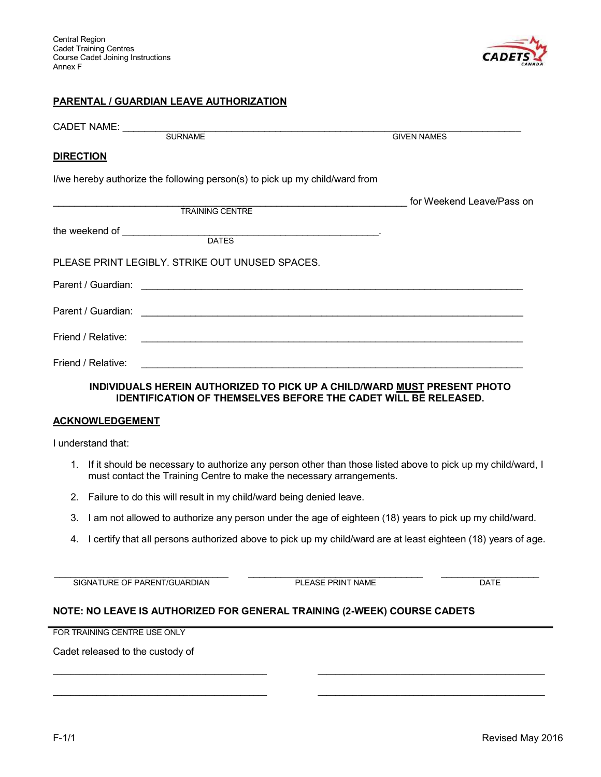

#### PARENTAL / GUARDIAN LEAVE AUTHORIZATION

| CADET NAME: ____________                                                                                                                           |                           |
|----------------------------------------------------------------------------------------------------------------------------------------------------|---------------------------|
| SURNAME                                                                                                                                            | <b>GIVEN NAMES</b>        |
| <b>DIRECTION</b>                                                                                                                                   |                           |
| I/we hereby authorize the following person(s) to pick up my child/ward from                                                                        |                           |
| <b>TRAINING CENTRE</b>                                                                                                                             | for Weekend Leave/Pass on |
|                                                                                                                                                    |                           |
|                                                                                                                                                    |                           |
|                                                                                                                                                    |                           |
| PLEASE PRINT LEGIBLY. STRIKE OUT UNUSED SPACES.                                                                                                    |                           |
|                                                                                                                                                    |                           |
|                                                                                                                                                    |                           |
| Friend / Relative:                                                                                                                                 |                           |
| Friend / Relative:<br><u> 1989 - Johann John Stone, Amerikaansk politiker († 1908)</u>                                                             |                           |
| INDIVIDUALS HEREIN AUTHORIZED TO PICK UP A CHILD/WARD MUST PRESENT PHOTO<br><b>IDENTIFICATION OF THEMSELVES BEFORE THE CADET WILL BE RELEASED.</b> |                           |

#### **ACKNOWLEDGEMENT**

I understand that:

- 1. If it should be necessary to authorize any person other than those listed above to pick up my child/ward, I must contact the Training Centre to make the necessary arrangements.
- 2. Failure to do this will result in my child/ward being denied leave.
- 3. I am not allowed to authorize any person under the age of eighteen (18) years to pick up my child/ward.

\_\_\_\_\_\_\_\_\_\_\_\_\_\_\_\_\_\_\_\_\_\_\_\_\_\_\_\_\_\_\_\_\_\_\_\_\_\_\_\_\_\_\_\_\_\_\_\_\_ \_\_\_\_\_\_\_\_\_\_\_\_\_\_\_\_\_\_\_\_\_\_\_\_\_\_\_\_\_\_\_\_\_\_\_\_\_\_\_\_\_\_\_\_\_\_\_\_\_\_\_\_

\_\_\_\_\_\_\_\_\_\_\_\_\_\_\_\_\_\_\_\_\_\_\_\_\_\_\_\_\_\_\_\_\_\_\_\_\_\_\_\_\_\_\_\_\_\_\_\_\_ \_\_\_\_\_\_\_\_\_\_\_\_\_\_\_\_\_\_\_\_\_\_\_\_\_\_\_\_\_\_\_\_\_\_\_\_\_\_\_\_\_\_\_\_\_\_\_\_\_\_\_\_

4. I certify that all persons authorized above to pick up my child/ward are at least eighteen (18) years of age.

SIGNATURE OF PARENT/GUARDIAN PLEASE PRINT NAME DATE

\_\_\_\_\_\_\_\_\_\_\_\_\_\_\_\_\_\_\_\_\_\_\_\_\_\_\_\_\_\_\_\_ \_\_\_\_\_\_\_\_\_\_\_\_\_\_\_\_\_\_\_\_\_\_\_\_\_\_\_\_\_\_\_\_ \_\_\_\_\_\_\_\_\_\_\_\_\_\_\_\_\_\_

#### NOTE: NO LEAVE IS AUTHORIZED FOR GENERAL TRAINING (2-WEEK) COURSE CADETS

FOR TRAINING CENTRE USE ONLY

Cadet released to the custody of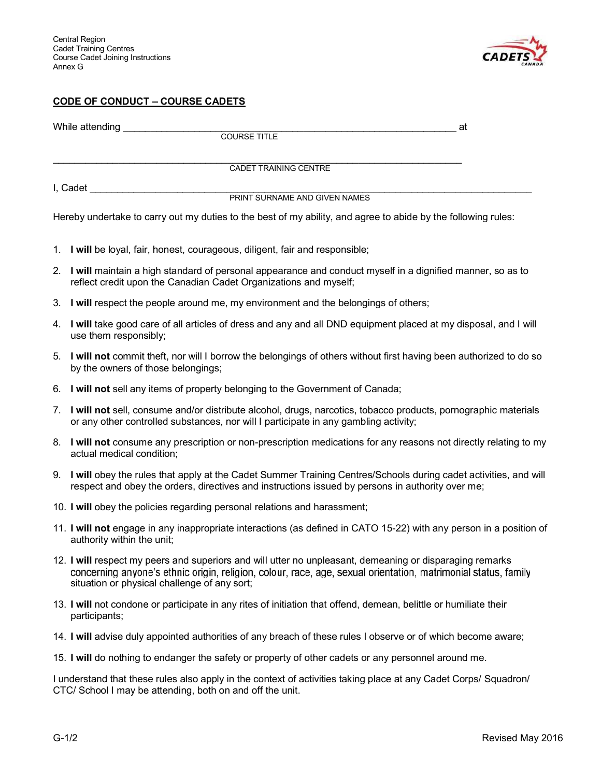

# CODE OF CONDUCT - COURSE CADETS

|    | While attending                                                                                                                                                                                                                                                            | at |
|----|----------------------------------------------------------------------------------------------------------------------------------------------------------------------------------------------------------------------------------------------------------------------------|----|
|    | <b>COURSE TITLE</b>                                                                                                                                                                                                                                                        |    |
|    | CADET TRAINING CENTRE                                                                                                                                                                                                                                                      |    |
|    |                                                                                                                                                                                                                                                                            |    |
|    | PRINT SURNAME AND GIVEN NAMES                                                                                                                                                                                                                                              |    |
|    | Hereby undertake to carry out my duties to the best of my ability, and agree to abide by the following rules:                                                                                                                                                              |    |
|    | 1. I will be loyal, fair, honest, courageous, diligent, fair and responsible;                                                                                                                                                                                              |    |
|    | 2. I will maintain a high standard of personal appearance and conduct myself in a dignified manner, so as to<br>reflect credit upon the Canadian Cadet Organizations and myself;                                                                                           |    |
|    | 3. I will respect the people around me, my environment and the belongings of others;                                                                                                                                                                                       |    |
|    | 4. I will take good care of all articles of dress and any and all DND equipment placed at my disposal, and I will<br>use them responsibly;                                                                                                                                 |    |
|    | 5. I will not commit theft, nor will I borrow the belongings of others without first having been authorized to do so<br>by the owners of those belongings;                                                                                                                 |    |
|    | 6. I will not sell any items of property belonging to the Government of Canada;                                                                                                                                                                                            |    |
| 7. | I will not sell, consume and/or distribute alcohol, drugs, narcotics, tobacco products, pornographic materials<br>or any other controlled substances, nor will I participate in any gambling activity;                                                                     |    |
|    | 8. I will not consume any prescription or non-prescription medications for any reasons not directly relating to my<br>actual medical condition;                                                                                                                            |    |
|    | 9. I will obey the rules that apply at the Cadet Summer Training Centres/Schools during cadet activities, and will<br>respect and obey the orders, directives and instructions issued by persons in authority over me;                                                     |    |
|    | 10. I will obey the policies regarding personal relations and harassment;                                                                                                                                                                                                  |    |
|    | 11. I will not engage in any inappropriate interactions (as defined in CATO 15-22) with any person in a position of<br>authority within the unit;                                                                                                                          |    |
|    | 12. I will respect my peers and superiors and will utter no unpleasant, demeaning or disparaging remarks<br>concerning anyone's ethnic origin, religion, colour, race, age, sexual orientation, matrimonial status, family<br>situation or physical challenge of any sort; |    |
|    | 13. I will not condone or participate in any rites of initiation that offend, demean, belittle or humiliate their<br>participants;                                                                                                                                         |    |
|    | 14. I will advise duly appointed authorities of any breach of these rules I observe or of which become aware;                                                                                                                                                              |    |
|    | 15. I will do nothing to endanger the safety or property of other cadets or any personnel around me.                                                                                                                                                                       |    |
|    | I understand that these rules also apply in the context of activities taking place at any Cadet Corps/ Squadron/                                                                                                                                                           |    |

CTC/ School I may be attending, both on and off the unit.